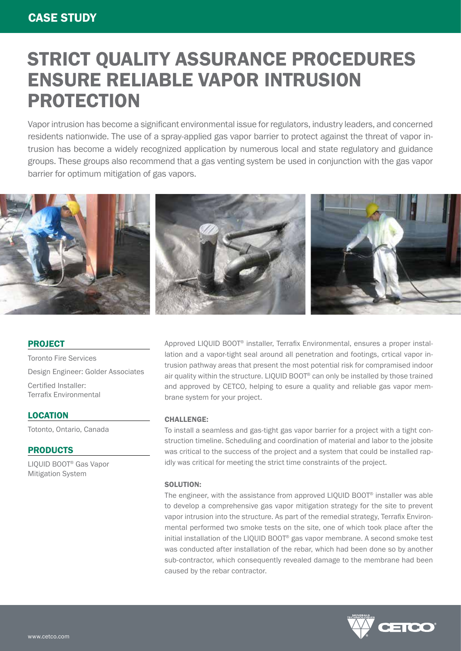# STRICT QUALITY ASSURANCE PROCEDURES ENSURE RELIABLE VAPOR INTRUSION PROTECTION

Vapor intrusion has become a significant environmental issue for regulators, industry leaders, and concerned residents nationwide. The use of a spray-applied gas vapor barrier to protect against the threat of vapor intrusion has become a widely recognized application by numerous local and state regulatory and guidance groups. These groups also recommend that a gas venting system be used in conjunction with the gas vapor barrier for optimum mitigation of gas vapors.



### PROJECT

Toronto Fire Services Design Engineer: Golder Associates Certified Installer: Terrafix Environmental

# **LOCATION**

Totonto, Ontario, Canada

# PRODUCTS

LIQUID BOOT® Gas Vapor Mitigation System

Approved LIQUID BOOT® installer, Terrafix Environmental, ensures a proper installation and a vapor-tight seal around all penetration and footings, crtical vapor intrusion pathway areas that present the most potential risk for compramised indoor air quality within the structure. LIQUID BOOT® can only be installed by those trained and approved by CETCO, helping to esure a quality and reliable gas vapor membrane system for your project.

### CHALLENGE:

To install a seamless and gas-tight gas vapor barrier for a project with a tight construction timeline. Scheduling and coordination of material and labor to the jobsite was critical to the success of the project and a system that could be installed rapidly was critical for meeting the strict time constraints of the project.

#### SOLUTION:

The engineer, with the assistance from approved LIQUID BOOT® installer was able to develop a comprehensive gas vapor mitigation strategy for the site to prevent vapor intrusion into the structure. As part of the remedial strategy, Terrafix Environmental performed two smoke tests on the site, one of which took place after the initial installation of the LIQUID BOOT® gas vapor membrane. A second smoke test was conducted after installation of the rebar, which had been done so by another sub-contractor, which consequently revealed damage to the membrane had been caused by the rebar contractor.